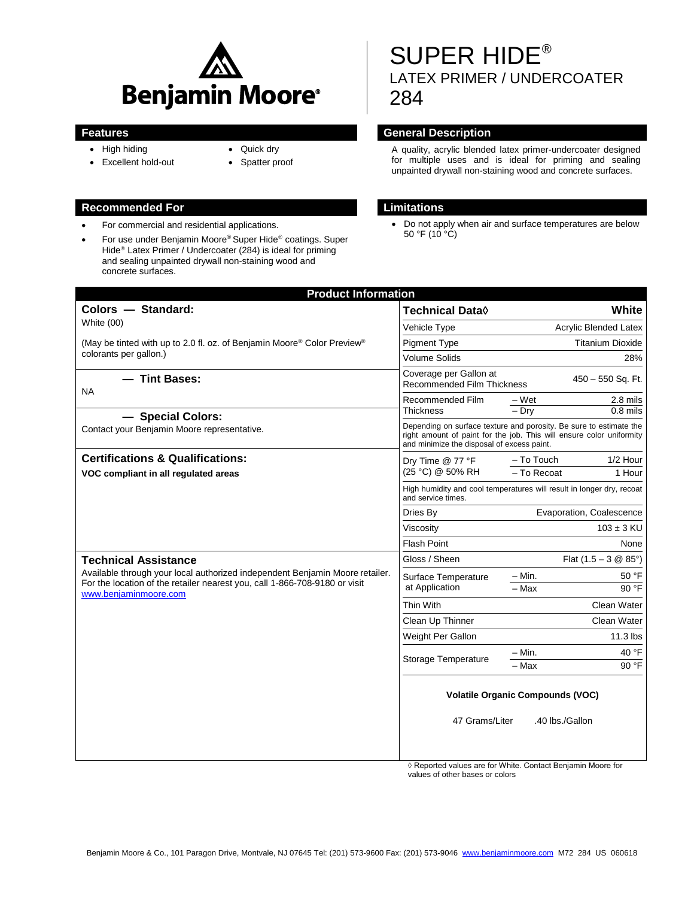

- High hiding
- Quick dry
- Excellent hold-out
- Spatter proof
- 
- For commercial and residential applications.
- For use under Benjamin Moore® Super Hide® coatings. Super Hide<sup>®</sup> Latex Primer / Undercoater (284) is ideal for priming and sealing unpainted drywall non-staining wood and concrete surfaces.

# SUPER HIDE® LATEX PRIMER / UNDERCOATER 284

# **Features General Description**

A quality, acrylic blended latex primer-undercoater designed for multiple uses and is ideal for priming and sealing unpainted drywall non-staining wood and concrete surfaces.

# **Recommended For Limitations**

 Do not apply when air and surface temperatures are below  $50 °F (10 °C)$ 

| <b>Product Information</b>                                                                                                                                                          |                                                                                                                                                                                          |                                |            |  |
|-------------------------------------------------------------------------------------------------------------------------------------------------------------------------------------|------------------------------------------------------------------------------------------------------------------------------------------------------------------------------------------|--------------------------------|------------|--|
| Colors - Standard:                                                                                                                                                                  | <b>Technical Data</b> ♦                                                                                                                                                                  |                                | White      |  |
| White (00)                                                                                                                                                                          | Vehicle Type                                                                                                                                                                             | Acrylic Blended Latex          |            |  |
| (May be tinted with up to 2.0 fl. oz. of Benjamin Moore <sup>®</sup> Color Preview <sup>®</sup><br>colorants per gallon.)                                                           | <b>Pigment Type</b>                                                                                                                                                                      | <b>Titanium Dioxide</b>        |            |  |
|                                                                                                                                                                                     | <b>Volume Solids</b>                                                                                                                                                                     | 28%                            |            |  |
| - Tint Bases:                                                                                                                                                                       | Coverage per Gallon at<br>450 - 550 Sq. Ft.<br><b>Recommended Film Thickness</b>                                                                                                         |                                |            |  |
| <b>NA</b>                                                                                                                                                                           | Recommended Film<br><b>Thickness</b>                                                                                                                                                     | $-Wet$                         | 2.8 mils   |  |
| - Special Colors:                                                                                                                                                                   |                                                                                                                                                                                          | $-$ Dry                        | $0.8$ mils |  |
| Contact your Benjamin Moore representative.                                                                                                                                         | Depending on surface texture and porosity. Be sure to estimate the<br>right amount of paint for the job. This will ensure color uniformity<br>and minimize the disposal of excess paint. |                                |            |  |
| <b>Certifications &amp; Qualifications:</b><br>VOC compliant in all regulated areas                                                                                                 | Dry Time @ 77 °F<br>(25 °C) @ 50% RH                                                                                                                                                     | - To Touch                     | 1/2 Hour   |  |
|                                                                                                                                                                                     |                                                                                                                                                                                          | - To Recoat                    | 1 Hour     |  |
|                                                                                                                                                                                     | High humidity and cool temperatures will result in longer dry, recoat<br>and service times.                                                                                              |                                |            |  |
|                                                                                                                                                                                     | Dries By                                                                                                                                                                                 | Evaporation, Coalescence       |            |  |
|                                                                                                                                                                                     | Viscosity                                                                                                                                                                                | $103 \pm 3$ KU                 |            |  |
|                                                                                                                                                                                     | <b>Flash Point</b>                                                                                                                                                                       | None                           |            |  |
| <b>Technical Assistance</b>                                                                                                                                                         | Gloss / Sheen                                                                                                                                                                            | Flat $(1.5 - 3 \& 85^{\circ})$ |            |  |
| Available through your local authorized independent Benjamin Moore retailer.<br>For the location of the retailer nearest you, call 1-866-708-9180 or visit<br>www.benjaminmoore.com | Surface Temperature<br>at Application                                                                                                                                                    | - Min.                         | 50 °F      |  |
|                                                                                                                                                                                     |                                                                                                                                                                                          | $-$ Max                        | 90 °F      |  |
|                                                                                                                                                                                     | Thin With                                                                                                                                                                                | Clean Water                    |            |  |
|                                                                                                                                                                                     | Clean Up Thinner                                                                                                                                                                         | Clean Water                    |            |  |
|                                                                                                                                                                                     | Weight Per Gallon                                                                                                                                                                        |                                | $11.3$ lbs |  |
|                                                                                                                                                                                     | <b>Storage Temperature</b>                                                                                                                                                               | - Min.                         | 40 °F      |  |
|                                                                                                                                                                                     |                                                                                                                                                                                          | - Max                          | 90 °F      |  |
|                                                                                                                                                                                     | <b>Volatile Organic Compounds (VOC)</b><br>47 Grams/Liter<br>.40 lbs./Gallon                                                                                                             |                                |            |  |
|                                                                                                                                                                                     |                                                                                                                                                                                          |                                |            |  |

◊ Reported values are for White. Contact Benjamin Moore for values of other bases or colors